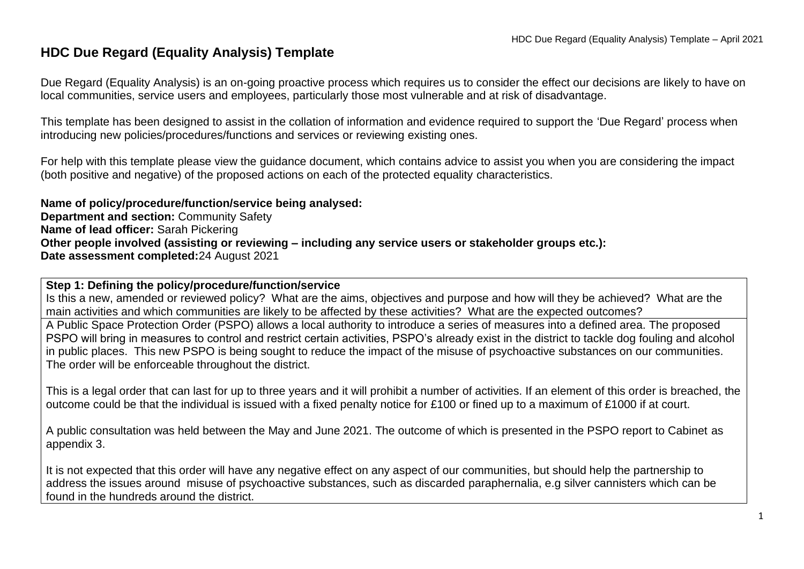# **HDC Due Regard (Equality Analysis) Template**

Due Regard (Equality Analysis) is an on-going proactive process which requires us to consider the effect our decisions are likely to have on local communities, service users and employees, particularly those most vulnerable and at risk of disadvantage.

This template has been designed to assist in the collation of information and evidence required to support the 'Due Regard' process when introducing new policies/procedures/functions and services or reviewing existing ones.

For help with this template please view the guidance document, which contains advice to assist you when you are considering the impact (both positive and negative) of the proposed actions on each of the protected equality characteristics.

**Name of policy/procedure/function/service being analysed: Department and section:** Community Safety **Name of lead officer:** Sarah Pickering **Other people involved (assisting or reviewing – including any service users or stakeholder groups etc.): Date assessment completed:**24 August 2021

**Step 1: Defining the policy/procedure/function/service**

Is this a new, amended or reviewed policy? What are the aims, objectives and purpose and how will they be achieved? What are the main activities and which communities are likely to be affected by these activities? What are the expected outcomes?

A Public Space Protection Order (PSPO) allows a local authority to introduce a series of measures into a defined area. The proposed PSPO will bring in measures to control and restrict certain activities, PSPO's already exist in the district to tackle dog fouling and alcohol in public places. This new PSPO is being sought to reduce the impact of the misuse of psychoactive substances on our communities. The order will be enforceable throughout the district.

This is a legal order that can last for up to three years and it will prohibit a number of activities. If an element of this order is breached, the outcome could be that the individual is issued with a fixed penalty notice for £100 or fined up to a maximum of £1000 if at court.

A public consultation was held between the May and June 2021. The outcome of which is presented in the PSPO report to Cabinet as appendix 3.

It is not expected that this order will have any negative effect on any aspect of our communities, but should help the partnership to address the issues around misuse of psychoactive substances, such as discarded paraphernalia, e.g silver cannisters which can be found in the hundreds around the district.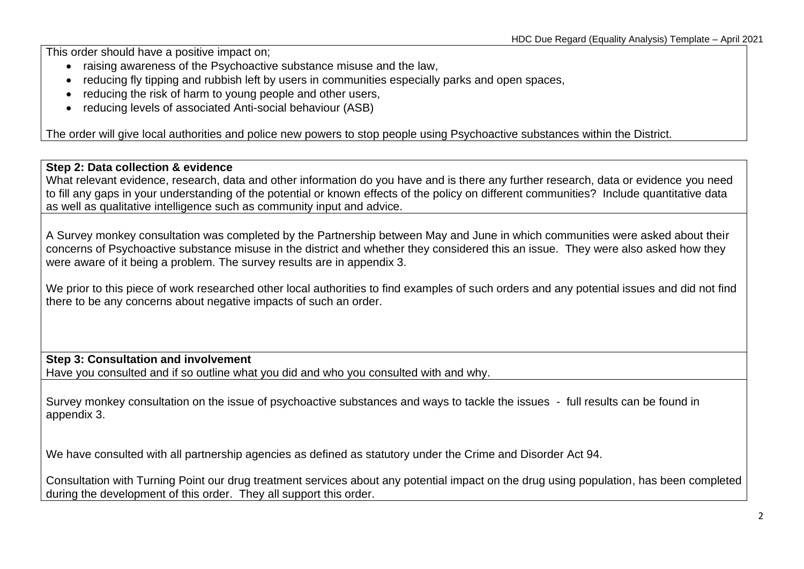This order should have a positive impact on;

- raising awareness of the Psychoactive substance misuse and the law,
- reducing fly tipping and rubbish left by users in communities especially parks and open spaces,
- reducing the risk of harm to young people and other users,
- reducing levels of associated Anti-social behaviour (ASB)

The order will give local authorities and police new powers to stop people using Psychoactive substances within the District.

## **Step 2: Data collection & evidence**

What relevant evidence, research, data and other information do you have and is there any further research, data or evidence you need to fill any gaps in your understanding of the potential or known effects of the policy on different communities? Include quantitative data as well as qualitative intelligence such as community input and advice.

A Survey monkey consultation was completed by the Partnership between May and June in which communities were asked about their concerns of Psychoactive substance misuse in the district and whether they considered this an issue. They were also asked how they were aware of it being a problem. The survey results are in appendix 3.

We prior to this piece of work researched other local authorities to find examples of such orders and any potential issues and did not find there to be any concerns about negative impacts of such an order.

## **Step 3: Consultation and involvement**

Have you consulted and if so outline what you did and who you consulted with and why.

Survey monkey consultation on the issue of psychoactive substances and ways to tackle the issues - full results can be found in appendix 3.

We have consulted with all partnership agencies as defined as statutory under the Crime and Disorder Act 94.

Consultation with Turning Point our drug treatment services about any potential impact on the drug using population, has been completed during the development of this order. They all support this order.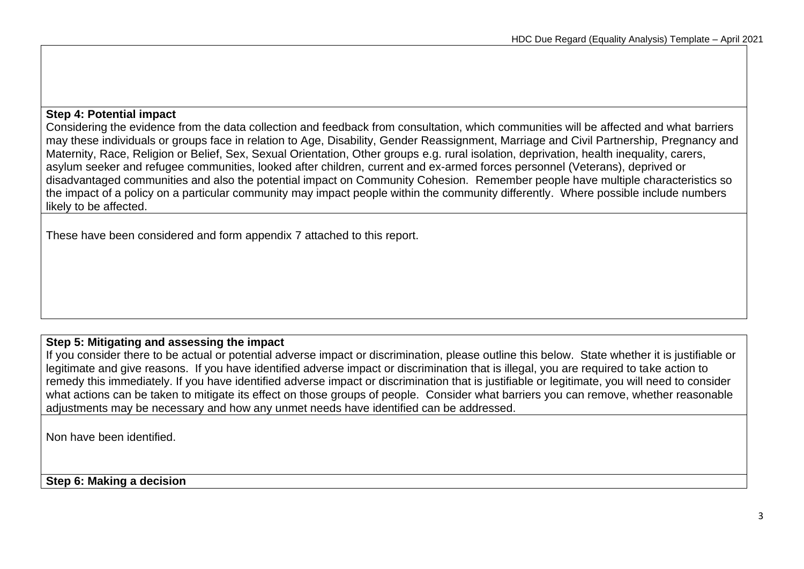### **Step 4: Potential impact**

Considering the evidence from the data collection and feedback from consultation, which communities will be affected and what barriers may these individuals or groups face in relation to Age, Disability, Gender Reassignment, Marriage and Civil Partnership, Pregnancy and Maternity, Race, Religion or Belief, Sex, Sexual Orientation, Other groups e.g. rural isolation, deprivation, health inequality, carers, asylum seeker and refugee communities, looked after children, current and ex-armed forces personnel (Veterans), deprived or disadvantaged communities and also the potential impact on Community Cohesion. Remember people have multiple characteristics so the impact of a policy on a particular community may impact people within the community differently. Where possible include numbers likely to be affected.

These have been considered and form appendix 7 attached to this report.

## **Step 5: Mitigating and assessing the impact**

If you consider there to be actual or potential adverse impact or discrimination, please outline this below. State whether it is justifiable or legitimate and give reasons. If you have identified adverse impact or discrimination that is illegal, you are required to take action to remedy this immediately. If you have identified adverse impact or discrimination that is justifiable or legitimate, you will need to consider what actions can be taken to mitigate its effect on those groups of people. Consider what barriers you can remove, whether reasonable adjustments may be necessary and how any unmet needs have identified can be addressed.

Non have been identified.

**Step 6: Making a decision**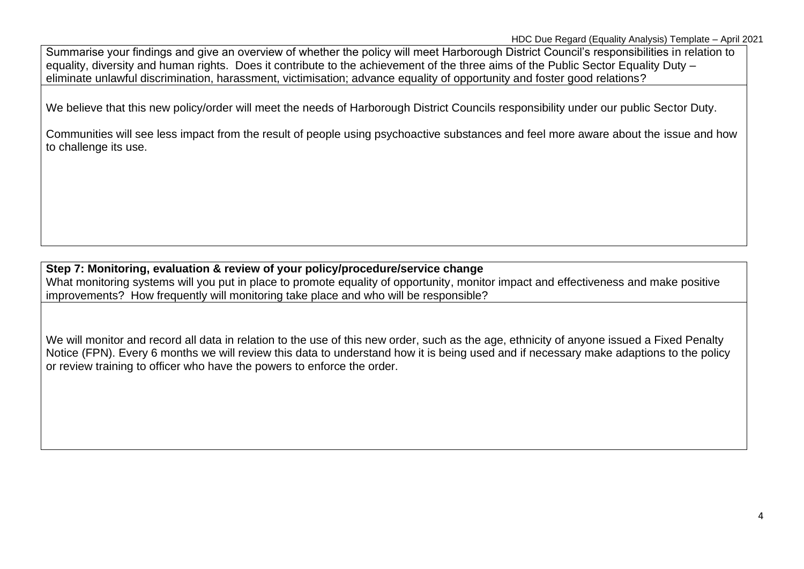Summarise your findings and give an overview of whether the policy will meet Harborough District Council's responsibilities in relation to equality, diversity and human rights. Does it contribute to the achievement of the three aims of the Public Sector Equality Duty – eliminate unlawful discrimination, harassment, victimisation; advance equality of opportunity and foster good relations?

We believe that this new policy/order will meet the needs of Harborough District Councils responsibility under our public Sector Duty.

Communities will see less impact from the result of people using psychoactive substances and feel more aware about the issue and how to challenge its use.

## **Step 7: Monitoring, evaluation & review of your policy/procedure/service change** What monitoring systems will you put in place to promote equality of opportunity, monitor impact and effectiveness and make positive improvements? How frequently will monitoring take place and who will be responsible?

We will monitor and record all data in relation to the use of this new order, such as the age, ethnicity of anyone issued a Fixed Penalty Notice (FPN). Every 6 months we will review this data to understand how it is being used and if necessary make adaptions to the policy or review training to officer who have the powers to enforce the order.